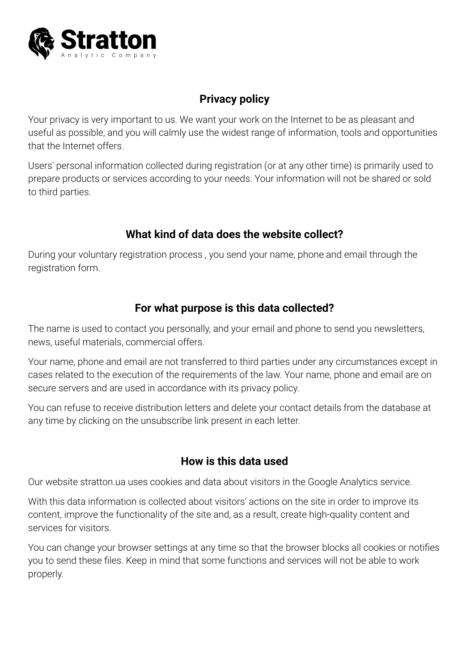

# **Privacy policy**

Your privacy is very important to us. We want your work on the Internet to be as pleasant and useful as possible, and you will calmly use the widest range of information, tools and opportunities that the Internet offers.

Users' personal information collected during registration (or at any other time) is primarily used to prepare products or services according to your needs. Your information will not be shared or sold to third parties.

## **What kind of data does the website collect?**

During your voluntary registration process , you send your name, phone and email through the registration form.

#### **For what purpose is this data collected?**

The name is used to contact you personally, and your email and phone to send you newsletters, news, useful materials, commercial offers.

Your name, phone and email are not transferred to third parties under any circumstances except in cases related to the execution of the requirements of the law. Your name, phone and email are on secure servers and are used in accordance with its privacy policy.

You can refuse to receive distribution letters and delete your contact details from the database at any time by clicking on the unsubscribe link present in each letter.

## **How is this data used**

Our website stratton.ua uses cookies and data about visitors in the Google Analytics service.

With this data information is collected about visitors' actions on the site in order to improve its content, improve the functionality of the site and, as a result, create high-quality content and services for visitors.

You can change your browser settings at any time so that the browser blocks all cookies or notifies you to send these files. Keep in mind that some functions and services will not be able to work properly.